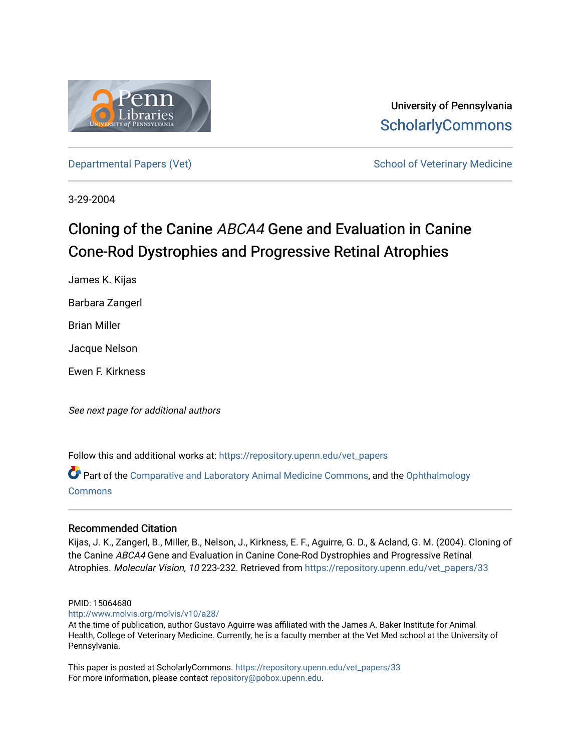

University of Pennsylvania **ScholarlyCommons** 

[Departmental Papers \(Vet\)](https://repository.upenn.edu/vet_papers) Network School of Veterinary Medicine

3-29-2004

# Cloning of the Canine ABCA4 Gene and Evaluation in Canine Cone-Rod Dystrophies and Progressive Retinal Atrophies

James K. Kijas Barbara Zangerl Brian Miller Jacque Nelson Ewen F. Kirkness

See next page for additional authors

Follow this and additional works at: [https://repository.upenn.edu/vet\\_papers](https://repository.upenn.edu/vet_papers?utm_source=repository.upenn.edu%2Fvet_papers%2F33&utm_medium=PDF&utm_campaign=PDFCoverPages) 

Part of the [Comparative and Laboratory Animal Medicine Commons](http://network.bepress.com/hgg/discipline/768?utm_source=repository.upenn.edu%2Fvet_papers%2F33&utm_medium=PDF&utm_campaign=PDFCoverPages), and the [Ophthalmology](http://network.bepress.com/hgg/discipline/695?utm_source=repository.upenn.edu%2Fvet_papers%2F33&utm_medium=PDF&utm_campaign=PDFCoverPages)  [Commons](http://network.bepress.com/hgg/discipline/695?utm_source=repository.upenn.edu%2Fvet_papers%2F33&utm_medium=PDF&utm_campaign=PDFCoverPages)

### Recommended Citation

Kijas, J. K., Zangerl, B., Miller, B., Nelson, J., Kirkness, E. F., Aguirre, G. D., & Acland, G. M. (2004). Cloning of the Canine ABCA4 Gene and Evaluation in Canine Cone-Rod Dystrophies and Progressive Retinal Atrophies. Molecular Vision, 10 223-232. Retrieved from [https://repository.upenn.edu/vet\\_papers/33](https://repository.upenn.edu/vet_papers/33?utm_source=repository.upenn.edu%2Fvet_papers%2F33&utm_medium=PDF&utm_campaign=PDFCoverPages) 

#### PMID: 15064680

<http://www.molvis.org/molvis/v10/a28/>

At the time of publication, author Gustavo Aguirre was affiliated with the James A. Baker Institute for Animal Health, College of Veterinary Medicine. Currently, he is a faculty member at the Vet Med school at the University of Pennsylvania.

This paper is posted at ScholarlyCommons. [https://repository.upenn.edu/vet\\_papers/33](https://repository.upenn.edu/vet_papers/33) For more information, please contact [repository@pobox.upenn.edu.](mailto:repository@pobox.upenn.edu)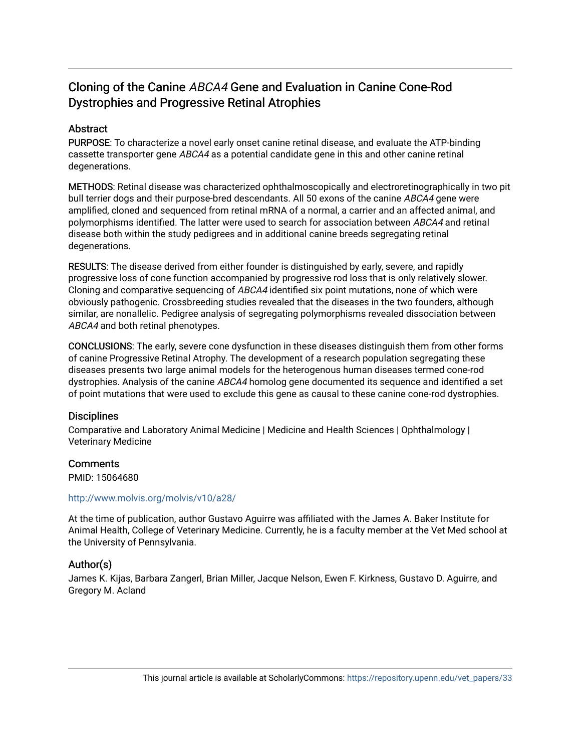## Cloning of the Canine ABCA4 Gene and Evaluation in Canine Cone-Rod Dystrophies and Progressive Retinal Atrophies

### Abstract

PURPOSE: To characterize a novel early onset canine retinal disease, and evaluate the ATP-binding cassette transporter gene ABCA4 as a potential candidate gene in this and other canine retinal degenerations.

METHODS: Retinal disease was characterized ophthalmoscopically and electroretinographically in two pit bull terrier dogs and their purpose-bred descendants. All 50 exons of the canine ABCA4 gene were amplified, cloned and sequenced from retinal mRNA of a normal, a carrier and an affected animal, and polymorphisms identified. The latter were used to search for association between ABCA4 and retinal disease both within the study pedigrees and in additional canine breeds segregating retinal degenerations.

RESULTS: The disease derived from either founder is distinguished by early, severe, and rapidly progressive loss of cone function accompanied by progressive rod loss that is only relatively slower. Cloning and comparative sequencing of ABCA4 identified six point mutations, none of which were obviously pathogenic. Crossbreeding studies revealed that the diseases in the two founders, although similar, are nonallelic. Pedigree analysis of segregating polymorphisms revealed dissociation between ABCA4 and both retinal phenotypes.

CONCLUSIONS: The early, severe cone dysfunction in these diseases distinguish them from other forms of canine Progressive Retinal Atrophy. The development of a research population segregating these diseases presents two large animal models for the heterogenous human diseases termed cone-rod dystrophies. Analysis of the canine ABCA4 homolog gene documented its sequence and identified a set of point mutations that were used to exclude this gene as causal to these canine cone-rod dystrophies.

### **Disciplines**

Comparative and Laboratory Animal Medicine | Medicine and Health Sciences | Ophthalmology | Veterinary Medicine

### **Comments**

PMID: 15064680

### <http://www.molvis.org/molvis/v10/a28/>

At the time of publication, author Gustavo Aguirre was affiliated with the James A. Baker Institute for Animal Health, College of Veterinary Medicine. Currently, he is a faculty member at the Vet Med school at the University of Pennsylvania.

### Author(s)

James K. Kijas, Barbara Zangerl, Brian Miller, Jacque Nelson, Ewen F. Kirkness, Gustavo D. Aguirre, and Gregory M. Acland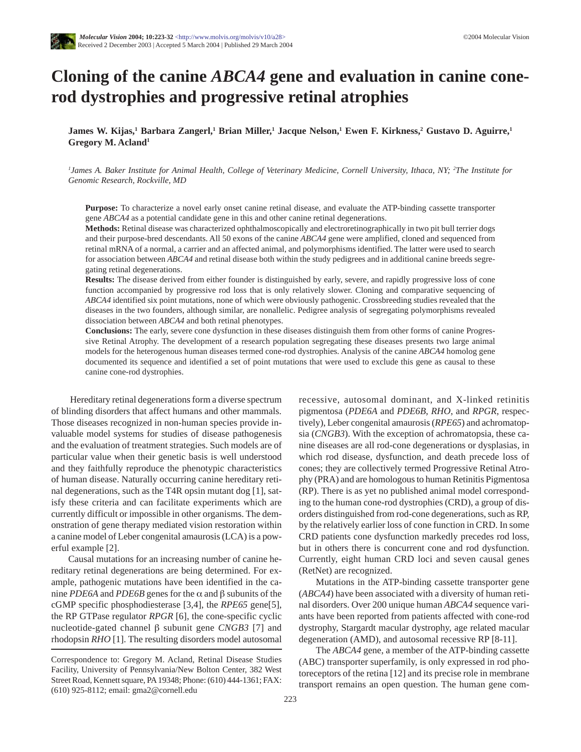## **Cloning of the canine** *ABCA4* **gene and evaluation in canine conerod dystrophies and progressive retinal atrophies**

**James W. Kijas,1 Barbara Zangerl,1 Brian Miller,1 Jacque Nelson,1 Ewen F. Kirkness,2 Gustavo D. Aguirre,1 Gregory M. Acland1**

*1 James A. Baker Institute for Animal Health, College of Veterinary Medicine, Cornell University, Ithaca, NY; 2 The Institute for Genomic Research, Rockville, MD*

**Purpose:** To characterize a novel early onset canine retinal disease, and evaluate the ATP-binding cassette transporter gene *ABCA4* as a potential candidate gene in this and other canine retinal degenerations.

**Methods:** Retinal disease was characterized ophthalmoscopically and electroretinographically in two pit bull terrier dogs and their purpose-bred descendants. All 50 exons of the canine *ABCA4* gene were amplified, cloned and sequenced from retinal mRNA of a normal, a carrier and an affected animal, and polymorphisms identified. The latter were used to search for association between *ABCA4* and retinal disease both within the study pedigrees and in additional canine breeds segregating retinal degenerations.

**Results:** The disease derived from either founder is distinguished by early, severe, and rapidly progressive loss of cone function accompanied by progressive rod loss that is only relatively slower. Cloning and comparative sequencing of *ABCA4* identified six point mutations, none of which were obviously pathogenic. Crossbreeding studies revealed that the diseases in the two founders, although similar, are nonallelic. Pedigree analysis of segregating polymorphisms revealed dissociation between *ABCA4* and both retinal phenotypes.

**Conclusions:** The early, severe cone dysfunction in these diseases distinguish them from other forms of canine Progressive Retinal Atrophy. The development of a research population segregating these diseases presents two large animal models for the heterogenous human diseases termed cone-rod dystrophies. Analysis of the canine *ABCA4* homolog gene documented its sequence and identified a set of point mutations that were used to exclude this gene as causal to these canine cone-rod dystrophies.

Hereditary retinal degenerations form a diverse spectrum of blinding disorders that affect humans and other mammals. Those diseases recognized in non-human species provide invaluable model systems for studies of disease pathogenesis and the evaluation of treatment strategies. Such models are of particular value when their genetic basis is well understood and they faithfully reproduce the phenotypic characteristics of human disease. Naturally occurring canine hereditary retinal degenerations, such as the T4R opsin mutant dog [1], satisfy these criteria and can facilitate experiments which are currently difficult or impossible in other organisms. The demonstration of gene therapy mediated vision restoration within a canine model of Leber congenital amaurosis (LCA) is a powerful example [2].

Causal mutations for an increasing number of canine hereditary retinal degenerations are being determined. For example, pathogenic mutations have been identified in the canine *PDE6A* and *PDE6B* genes for the α and β subunits of the cGMP specific phosphodiesterase [3,4], the *RPE65* gene[5], the RP GTPase regulator *RPGR* [6], the cone-specific cyclic nucleotide-gated channel β subunit gene *CNGB3* [7] and rhodopsin *RHO* [1]. The resulting disorders model autosomal recessive, autosomal dominant, and X-linked retinitis pigmentosa (*PDE6A* and *PDE6B*, *RHO*, and *RPGR*, respectively), Leber congenital amaurosis (*RPE65*) and achromatopsia (*CNGB3*). With the exception of achromatopsia, these canine diseases are all rod-cone degenerations or dysplasias, in which rod disease, dysfunction, and death precede loss of cones; they are collectively termed Progressive Retinal Atrophy (PRA) and are homologous to human Retinitis Pigmentosa (RP). There is as yet no published animal model corresponding to the human cone-rod dystrophies (CRD), a group of disorders distinguished from rod-cone degenerations, such as RP, by the relatively earlier loss of cone function in CRD. In some CRD patients cone dysfunction markedly precedes rod loss, but in others there is concurrent cone and rod dysfunction. Currently, eight human CRD loci and seven causal genes (RetNet) are recognized.

Mutations in the ATP-binding cassette transporter gene (*ABCA4*) have been associated with a diversity of human retinal disorders. Over 200 unique human *ABCA4* sequence variants have been reported from patients affected with cone-rod dystrophy, Stargardt macular dystrophy, age related macular degeneration (AMD), and autosomal recessive RP [8-11].

The *ABCA4* gene, a member of the ATP-binding cassette (ABC) transporter superfamily, is only expressed in rod photoreceptors of the retina [12] and its precise role in membrane transport remains an open question. The human gene com-

Correspondence to: Gregory M. Acland, Retinal Disease Studies Facility, University of Pennsylvania/New Bolton Center, 382 West Street Road, Kennett square, PA 19348; Phone: (610) 444-1361; FAX: (610) 925-8112; email: gma2@cornell.edu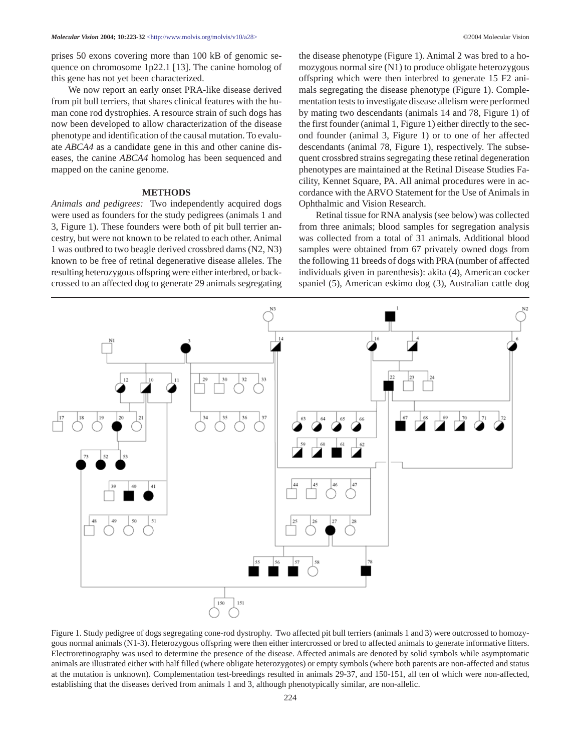prises 50 exons covering more than 100 kB of genomic sequence on chromosome 1p22.1 [13]. The canine homolog of this gene has not yet been characterized.

We now report an early onset PRA-like disease derived from pit bull terriers, that shares clinical features with the human cone rod dystrophies. A resource strain of such dogs has now been developed to allow characterization of the disease phenotype and identification of the causal mutation. To evaluate *ABCA4* as a candidate gene in this and other canine diseases, the canine *ABCA4* homolog has been sequenced and mapped on the canine genome.

#### **METHODS**

*Animals and pedigrees:* Two independently acquired dogs were used as founders for the study pedigrees (animals 1 and 3, Figure 1). These founders were both of pit bull terrier ancestry, but were not known to be related to each other. Animal 1 was outbred to two beagle derived crossbred dams (N2, N3) known to be free of retinal degenerative disease alleles. The resulting heterozygous offspring were either interbred, or backcrossed to an affected dog to generate 29 animals segregating the disease phenotype (Figure 1). Animal 2 was bred to a homozygous normal sire (N1) to produce obligate heterozygous offspring which were then interbred to generate 15 F2 animals segregating the disease phenotype (Figure 1). Complementation tests to investigate disease allelism were performed by mating two descendants (animals 14 and 78, Figure 1) of the first founder (animal 1, Figure 1) either directly to the second founder (animal 3, Figure 1) or to one of her affected descendants (animal 78, Figure 1), respectively. The subsequent crossbred strains segregating these retinal degeneration phenotypes are maintained at the Retinal Disease Studies Facility, Kennet Square, PA. All animal procedures were in accordance with the ARVO Statement for the Use of Animals in Ophthalmic and Vision Research.

Retinal tissue for RNA analysis (see below) was collected from three animals; blood samples for segregation analysis was collected from a total of 31 animals. Additional blood samples were obtained from 67 privately owned dogs from the following 11 breeds of dogs with PRA (number of affected individuals given in parenthesis): akita (4), American cocker spaniel (5), American eskimo dog (3), Australian cattle dog



Figure 1. Study pedigree of dogs segregating cone-rod dystrophy. Two affected pit bull terriers (animals 1 and 3) were outcrossed to homozygous normal animals (N1-3). Heterozygous offspring were then either intercrossed or bred to affected animals to generate informative litters. Electroretinography was used to determine the presence of the disease. Affected animals are denoted by solid symbols while asymptomatic animals are illustrated either with half filled (where obligate heterozygotes) or empty symbols (where both parents are non-affected and status at the mutation is unknown). Complementation test-breedings resulted in animals 29-37, and 150-151, all ten of which were non-affected, establishing that the diseases derived from animals 1 and 3, although phenotypically similar, are non-allelic.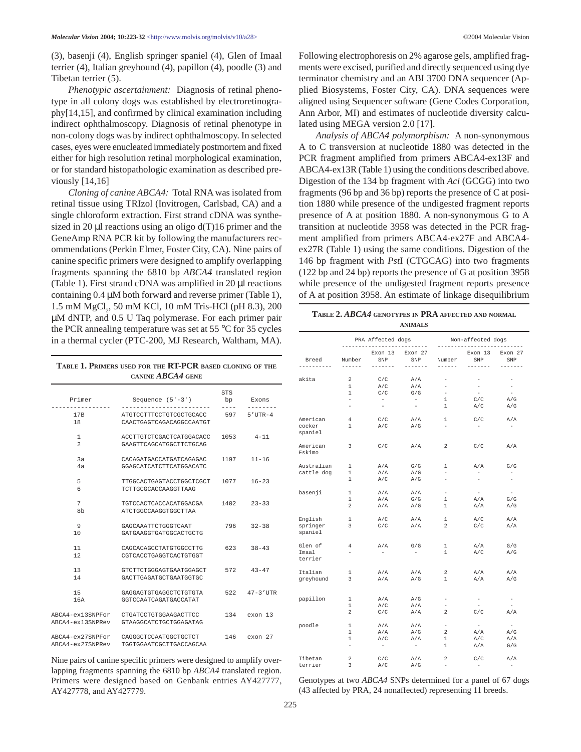(3), basenji (4), English springer spaniel (4), Glen of Imaal terrier (4), Italian greyhound (4), papillon (4), poodle (3) and Tibetan terrier (5).

*Phenotypic ascertainment:* Diagnosis of retinal phenotype in all colony dogs was established by electroretinography[14,15], and confirmed by clinical examination including indirect ophthalmoscopy. Diagnosis of retinal phenotype in non-colony dogs was by indirect ophthalmoscopy. In selected cases, eyes were enucleated immediately postmortem and fixed either for high resolution retinal morphological examination, or for standard histopathologic examination as described previously [14,16]

*Cloning of canine ABCA4:* Total RNA was isolated from retinal tissue using TRIzol (Invitrogen, Carlsbad, CA) and a single chloroform extraction. First strand cDNA was synthesized in 20  $\mu$ l reactions using an oligo d(T)16 primer and the GeneAmp RNA PCR kit by following the manufacturers recommendations (Perkin Elmer, Foster City, CA). Nine pairs of canine specific primers were designed to amplify overlapping fragments spanning the 6810 bp *ABCA4* translated region (Table 1). First strand cDNA was amplified in 20  $\mu$ l reactions containing 0.4 µM both forward and reverse primer (Table 1), 1.5 mM MgCl<sub>2</sub>, 50 mM KCl, 10 mM Tris-HCl (pH 8.3), 200 µM dNTP, and 0.5 U Taq polymerase. For each primer pair the PCR annealing temperature was set at 55 °C for 35 cycles in a thermal cycler (PTC-200, MJ Research, Waltham, MA).

**TABLE 1. PRIMERS USED FOR THE RT-PCR BASED CLONING OF THE CANINE** *ABCA4* **GENE**

| Primer                               | Sequence $(5'-3')$                                  | STS<br>bp | Exons         |
|--------------------------------------|-----------------------------------------------------|-----------|---------------|
| 17B<br>18                            | ATGTCCTTTCCTGTCGCTGCACC<br>CAACTGAGTCAGACAGGCCAATGT | 597       | $5'$ UTR-4    |
| 1<br>$\mathfrak{D}$                  | ACCTTGTCTCGACTCATGGACACC<br>GAAGTTCAGCATGGCTTCTGCAG | 1053      | $4 - 11$      |
| 3a<br>4a                             | CACAGATGACCATGATCAGAGAC<br>GGAGCATCATCTTCATGGACATC  | 1197      | $11 - 16$     |
| 5<br>6                               | TTGGCACTGAGTACCTGGCTCGCT<br>TCTTGCGCACCAAGGTTAAG    | 1077      | $16 - 23$     |
| 7<br>8b                              | TGTCCACTCACCACATGGACGA<br>ATCTGGCCAAGGTGGCTTAA      | 1402      | $23 - 33$     |
| 9<br>10                              | GAGCAAATTCTGGGTCAAT<br>GATGAAGGTGATGGCACTGCTG       | 796       | $32 - 38$     |
| 11<br>12                             | CAGCACAGCCTATGTGGCCTTG<br>CGTCACCTGAGGTCACTGTGGT    | 623       | $38 - 43$     |
| 13<br>14                             | GTCTTCTGGGAGTGAATGGAGCT<br>GACTTGAGATGCTGAATGGTGC   | 572       | $43 - 47$     |
| 1.5<br>16A                           | GAGGAGTGTGAGGCTCTGTGTA<br>GGTCCAATCAGATGACCATAT     | 522       | $47 - 3$ 'UTR |
| ABCA4-ex13SNPFor<br>ABCA4-ex13SNPRev | CTGATCCTGTGGAAGACTTCC<br>GTAAGGCATCTGCTGGAGATAG     | 134       | exon 13       |
| ABCA4-ex27SNPFor<br>ABCA4-ex27SNPRev | CAGGGCTCCAATGGCTGCTCT<br>TGGTGGAATCGCTTGACCAGCAA    | 146       | $exon$ 27     |

Nine pairs of canine specific primers were designed to amplify overlapping fragments spanning the 6810 bp *ABCA4* translated region. Primers were designed based on Genbank entries AY427777, AY427778, and AY427779.

Following electrophoresis on 2% agarose gels, amplified fragments were excised, purified and directly sequenced using dye terminator chemistry and an ABI 3700 DNA sequencer (Applied Biosystems, Foster City, CA). DNA sequences were aligned using Sequencer software (Gene Codes Corporation, Ann Arbor, MI) and estimates of nucleotide diversity calculated using MEGA version 2.0 [17].

*Analysis of ABCA4 polymorphism:* A non-synonymous A to C transversion at nucleotide 1880 was detected in the PCR fragment amplified from primers ABCA4-ex13F and ABCA4-ex13R (Table 1) using the conditions described above. Digestion of the 134 bp fragment with *Aci* (GCGG) into two fragments (96 bp and 36 bp) reports the presence of C at position 1880 while presence of the undigested fragment reports presence of A at position 1880. A non-synonymous G to A transition at nucleotide 3958 was detected in the PCR fragment amplified from primers ABCA4-ex27F and ABCA4 ex27R (Table 1) using the same conditions. Digestion of the 146 bp fragment with *Pst*I (CTGCAG) into two fragments (122 bp and 24 bp) reports the presence of G at position 3958 while presence of the undigested fragment reports presence of A at position 3958. An estimate of linkage disequilibrium

| TABLE 2. ABCA4 GENOTYPES IN PRA AFFECTED AND NORMAL |  |
|-----------------------------------------------------|--|
| <b>ANIMALS</b>                                      |  |

|            |                          | PRA Affected dogs        |                | Non-affected dogs        |                                              |                          |  |  |  |  |
|------------|--------------------------|--------------------------|----------------|--------------------------|----------------------------------------------|--------------------------|--|--|--|--|
| Breed      | Number                   | Exon 13<br>SNP           | Exon 27<br>SNP | Number                   | --------------------------<br>Exon 13<br>SNP | Exon 27<br>SNP           |  |  |  |  |
| . <u>.</u> | $- - - - - - -$          | -------                  | -------        | $- - - - - -$            | $- - - - - - - -$                            | -------                  |  |  |  |  |
| akita      | $\overline{\mathbf{c}}$  | C/C                      | A/A            | $\overline{\phantom{a}}$ | $\overline{\phantom{a}}$                     | $\overline{\phantom{a}}$ |  |  |  |  |
|            | $\mathbf{1}$             | A/C                      | A/A            | $\overline{\phantom{a}}$ | $\sim$                                       | $\overline{\phantom{a}}$ |  |  |  |  |
|            | 1                        | C/C                      | G/G            | $\overline{\phantom{a}}$ | $\sim$                                       | $\overline{\phantom{a}}$ |  |  |  |  |
|            | $\overline{\phantom{0}}$ | $\sim$                   | $\sim$         | 1                        | C/C                                          | A/G                      |  |  |  |  |
|            | $\overline{\phantom{a}}$ | $\overline{\phantom{a}}$ | $\sim$         | $\mathbf{1}$             | A/C                                          | A/G                      |  |  |  |  |
| American   | 4                        | C/C                      | A/A            | 1                        | C/C                                          | A/A                      |  |  |  |  |
| cocker     | 1                        | A/C                      | A/G            | $\overline{a}$           | $\sim$                                       | $\sim$                   |  |  |  |  |
| spaniel    |                          |                          |                |                          |                                              |                          |  |  |  |  |
| American   | 3                        | C/C                      | A/A            | $\overline{\mathbf{c}}$  | C/C                                          | A/A                      |  |  |  |  |
| Eskimo     |                          |                          |                |                          |                                              |                          |  |  |  |  |
| Australian | 1                        | A/A                      | G/G            | 1                        | A/A                                          | G/G                      |  |  |  |  |
| cattle dog | $\mathbf{1}$             | A/A                      | A/G            | $\overline{a}$           | $\overline{\phantom{a}}$                     | $\overline{\phantom{a}}$ |  |  |  |  |
|            | 1                        | A/C                      | A/G            | -                        | $\overline{\phantom{a}}$                     | $\overline{\phantom{a}}$ |  |  |  |  |
| basenji    | 1                        | A/A                      | A/A            | -                        | $\sim$                                       | $\overline{\phantom{a}}$ |  |  |  |  |
|            | $\mathbf{1}$             | A/A                      | G/G            | 1                        | A/A                                          | G/G                      |  |  |  |  |
|            | $\overline{a}$           | A/A                      | A/G            | $\mathbf{1}$             | A/A                                          | A/G                      |  |  |  |  |
| English    | 1                        | A/C                      | A/A            | 1                        | A/C                                          | A/A                      |  |  |  |  |
| springer   | 3                        | C/C                      | A/A            | $\overline{a}$           | C/C                                          | A/A                      |  |  |  |  |
| spaniel    |                          |                          |                |                          |                                              |                          |  |  |  |  |
| Glen of    | 4                        | A/A                      | G/G            | 1                        | A/A                                          | G/G                      |  |  |  |  |
| Imaal      | L.                       | $\sim$                   | $\sim$         | 1                        | A/C                                          | A/G                      |  |  |  |  |
| terrier    |                          |                          |                |                          |                                              |                          |  |  |  |  |
| Italian    | 1                        | A/A                      | A/A            | 2                        | A/A                                          | A/A                      |  |  |  |  |
| greyhound  | 3                        | A/A                      | A/G            | 1                        | A/A                                          | A/G                      |  |  |  |  |
|            |                          |                          |                |                          |                                              |                          |  |  |  |  |
| papillon   | 1                        | A/A                      | A/G            | -                        | $\overline{\phantom{a}}$                     | $\overline{\phantom{m}}$ |  |  |  |  |
|            | 1                        | A/C                      | A/A            | $\overline{\phantom{a}}$ | $\sim$                                       | $\overline{\phantom{a}}$ |  |  |  |  |
|            | $\overline{\mathbf{2}}$  | C/C                      | A/A            | 2                        | C/C                                          | A/A                      |  |  |  |  |
| poodle     | 1                        | A/A                      | A/A            | -                        | $\sim$                                       | $-$                      |  |  |  |  |
|            | $\mathbf{1}$             | A/A                      | A/G            | $\overline{a}$           | A/A                                          | A/G                      |  |  |  |  |
|            | 1                        | A/C                      | A/A            | 1                        | A/C                                          | A/A                      |  |  |  |  |
|            |                          | $\sim$                   | $\sim$         | 1                        | A/A                                          | G/G                      |  |  |  |  |
| Tibetan    | $\overline{a}$           | C/C                      | A/A            | 2                        | C/C                                          | A/A                      |  |  |  |  |
| terrier    | 3                        | A/C                      | A/G            | ۰                        | $\overline{\phantom{0}}$                     | $\overline{\phantom{a}}$ |  |  |  |  |

Genotypes at two *ABCA4* SNPs determined for a panel of 67 dogs (43 affected by PRA, 24 nonaffected) representing 11 breeds.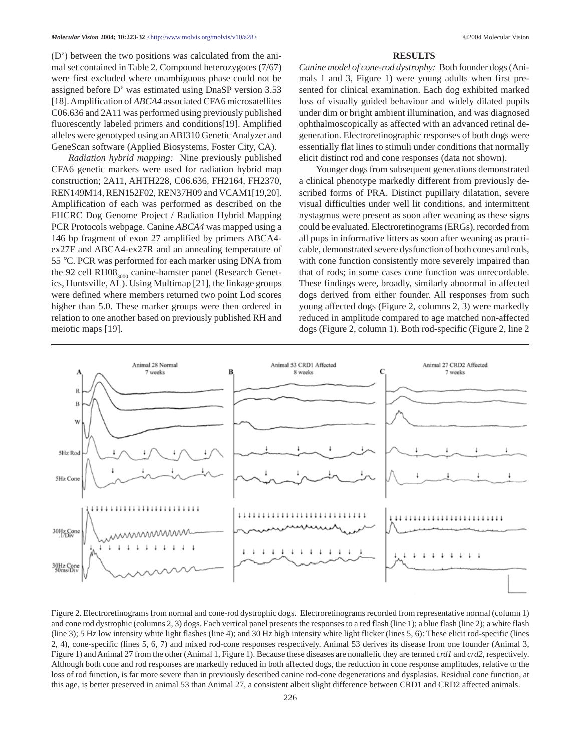(D') between the two positions was calculated from the animal set contained in Table 2. Compound heterozygotes (7/67) were first excluded where unambiguous phase could not be assigned before D' was estimated using DnaSP version 3.53 [18]. Amplification of *ABCA4* associated CFA6 microsatellites C06.636 and 2A11 was performed using previously published fluorescently labeled primers and conditions[19]. Amplified alleles were genotyped using an ABI310 Genetic Analyzer and GeneScan software (Applied Biosystems, Foster City, CA).

*Radiation hybrid mapping:* Nine previously published CFA6 genetic markers were used for radiation hybrid map construction; 2A11, AHTH228, C06.636, FH2164, FH2370, REN149M14, REN152F02, REN37H09 and VCAM1[19,20]. Amplification of each was performed as described on the FHCRC Dog Genome Project / Radiation Hybrid Mapping PCR Protocols webpage. Canine *ABCA4* was mapped using a 146 bp fragment of exon 27 amplified by primers ABCA4 ex27F and ABCA4-ex27R and an annealing temperature of 55 °C. PCR was performed for each marker using DNA from the 92 cell  $RH08_{3000}$  canine-hamster panel (Research Genetics, Huntsville, AL). Using Multimap [21], the linkage groups were defined where members returned two point Lod scores higher than 5.0. These marker groups were then ordered in relation to one another based on previously published RH and meiotic maps [19].

#### **RESULTS**

*Canine model of cone-rod dystrophy:* Both founder dogs (Animals 1 and 3, Figure 1) were young adults when first presented for clinical examination. Each dog exhibited marked loss of visually guided behaviour and widely dilated pupils under dim or bright ambient illumination, and was diagnosed ophthalmoscopically as affected with an advanced retinal degeneration. Electroretinographic responses of both dogs were essentially flat lines to stimuli under conditions that normally elicit distinct rod and cone responses (data not shown).

Younger dogs from subsequent generations demonstrated a clinical phenotype markedly different from previously described forms of PRA. Distinct pupillary dilatation, severe visual difficulties under well lit conditions, and intermittent nystagmus were present as soon after weaning as these signs could be evaluated. Electroretinograms (ERGs), recorded from all pups in informative litters as soon after weaning as practicable, demonstrated severe dysfunction of both cones and rods, with cone function consistently more severely impaired than that of rods; in some cases cone function was unrecordable. These findings were, broadly, similarly abnormal in affected dogs derived from either founder. All responses from such young affected dogs (Figure 2, columns 2, 3) were markedly reduced in amplitude compared to age matched non-affected dogs (Figure 2, column 1). Both rod-specific (Figure 2, line 2



Figure 2. Electroretinograms from normal and cone-rod dystrophic dogs. Electroretinograms recorded from representative normal (column 1) and cone rod dystrophic (columns 2, 3) dogs. Each vertical panel presents the responses to a red flash (line 1); a blue flash (line 2); a white flash (line 3); 5 Hz low intensity white light flashes (line 4); and 30 Hz high intensity white light flicker (lines 5, 6): These elicit rod-specific (lines 2, 4), cone-specific (lines 5, 6, 7) and mixed rod-cone responses respectively. Animal 53 derives its disease from one founder (Animal 3, Figure 1) and Animal 27 from the other (Animal 1, Figure 1). Because these diseases are nonallelic they are termed *crd1* and *crd2*, respectively. Although both cone and rod responses are markedly reduced in both affected dogs, the reduction in cone response amplitudes, relative to the loss of rod function, is far more severe than in previously described canine rod-cone degenerations and dysplasias. Residual cone function, at this age, is better preserved in animal 53 than Animal 27, a consistent albeit slight difference between CRD1 and CRD2 affected animals.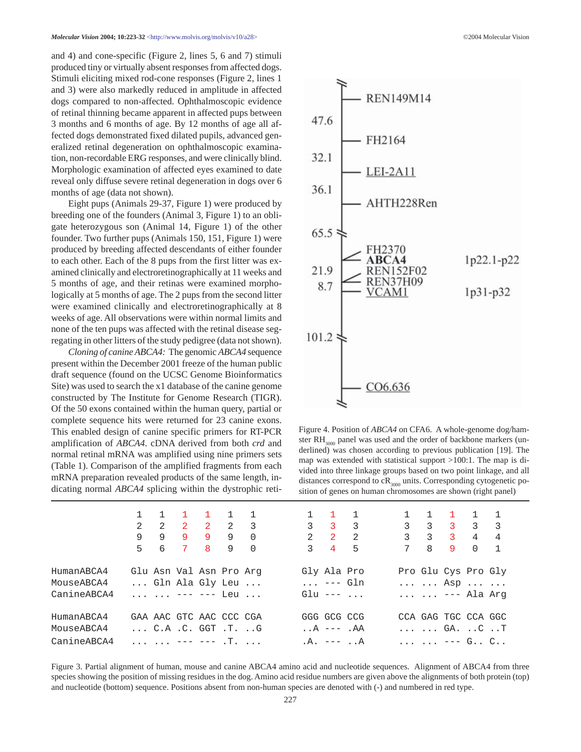and 4) and cone-specific (Figure 2, lines 5, 6 and 7) stimuli produced tiny or virtually absent responses from affected dogs. Stimuli eliciting mixed rod-cone responses (Figure 2, lines 1 and 3) were also markedly reduced in amplitude in affected dogs compared to non-affected. Ophthalmoscopic evidence of retinal thinning became apparent in affected pups between 3 months and 6 months of age. By 12 months of age all affected dogs demonstrated fixed dilated pupils, advanced generalized retinal degeneration on ophthalmoscopic examination, non-recordable ERG responses, and were clinically blind. Morphologic examination of affected eyes examined to date reveal only diffuse severe retinal degeneration in dogs over 6 months of age (data not shown).

Eight pups (Animals 29-37, Figure 1) were produced by breeding one of the founders (Animal 3, Figure 1) to an obligate heterozygous son (Animal 14, Figure 1) of the other founder. Two further pups (Animals 150, 151, Figure 1) were produced by breeding affected descendants of either founder to each other. Each of the 8 pups from the first litter was examined clinically and electroretinographically at 11 weeks and 5 months of age, and their retinas were examined morphologically at 5 months of age. The 2 pups from the second litter were examined clinically and electroretinographically at 8 weeks of age. All observations were within normal limits and none of the ten pups was affected with the retinal disease segregating in other litters of the study pedigree (data not shown).

*Cloning of canine ABCA4:* The genomic *ABCA4* sequence present within the December 2001 freeze of the human public draft sequence (found on the UCSC Genome Bioinformatics Site) was used to search the x1 database of the canine genome constructed by The Institute for Genome Research (TIGR). Of the 50 exons contained within the human query, partial or complete sequence hits were returned for 23 canine exons. This enabled design of canine specific primers for RT-PCR amplification of *ABCA4*. cDNA derived from both *crd* and normal retinal mRNA was amplified using nine primers sets (Table 1). Comparison of the amplified fragments from each mRNA preparation revealed products of the same length, indicating normal *ABCA4* splicing within the dystrophic reti-



Figure 4. Position of *ABCA4* on CFA6. A whole-genome dog/hamster  $RH_{3000}$  panel was used and the order of backbone markers (underlined) was chosen according to previous publication [19]. The map was extended with statistical support >100:1. The map is divided into three linkage groups based on two point linkage, and all distances correspond to  $cR_{3000}$  units. Corresponding cytogenetic position of genes on human chromosomes are shown (right panel)

|             |   |   | 1 1 1 1 1 1                                  |                        |  | $1 \quad 1 \quad 1$                          |                     |     | $1 \quad 1 \quad 1 \quad 1 \quad 1$                            |               |                |
|-------------|---|---|----------------------------------------------|------------------------|--|----------------------------------------------|---------------------|-----|----------------------------------------------------------------|---------------|----------------|
|             |   |   | 2 2 2 2 2 3                                  |                        |  |                                              | $3 \quad 3 \quad 3$ |     | $3 \t3 \t3 \t3 \t3$                                            |               |                |
|             | 9 | 9 | 9                                            | 9 O                    |  |                                              | $2 \quad 2 \quad 2$ |     | $3 \quad 3 \quad 3 \quad 4$                                    |               | $\overline{4}$ |
|             |   |   | 5 6 7 8                                      | $9 \qquad \qquad \cap$ |  | $3 \quad 4 \quad 5$                          |                     | 7 8 |                                                                | $9 \t 0 \t 1$ |                |
| HumanABCA4  |   |   | Glu Asn Val Asn Pro Arq                      |                        |  | Gly Ala Pro                                  |                     |     | Pro Glu Cys Pro Gly                                            |               |                |
| MouseABCA4  |   |   |                                              | Gln Ala Gly Leu        |  |                                              | --- Gln             |     | $\ldots$ $\ldots$ Asp $\ldots$ $\ldots$                        |               |                |
| CanineABCA4 |   |   | $\ldots$ $\ldots$ $\ldots$ $\ldots$ $\ldots$ |                        |  | Glu $---$                                    |                     |     | --- Ala Arq                                                    |               |                |
| HumanABCA4  |   |   | GAA AAC GTC AAC CCC CGA                      |                        |  | GGG GCG CCG                                  |                     |     | CCA GAG TGC CCA GGC                                            |               |                |
| MouseABCA4  |   |   | $\ldots$ C.A.C. GGT.TG                       |                        |  | $\mathsf{A}$ . $\mathsf{A}$ --- $\mathsf{A}$ |                     |     | $\ldots$ $\ldots$ GA. $\ldots$ C. $\ldots$ T                   |               |                |
| CanineABCA4 |   |   | $\ldots$ $--- - -  \ldots$                   |                        |  | $.A. --- A$                                  |                     |     | $\cdots$ $\cdots$ $\cdots$ $\cdots$ $\cdots$ $\cdots$ $\cdots$ |               |                |

Figure 3. Partial alignment of human, mouse and canine ABCA4 amino acid and nucleotide sequences. Alignment of ABCA4 from three species showing the position of missing residues in the dog. Amino acid residue numbers are given above the alignments of both protein (top) and nucleotide (bottom) sequence. Positions absent from non-human species are denoted with (-) and numbered in red type.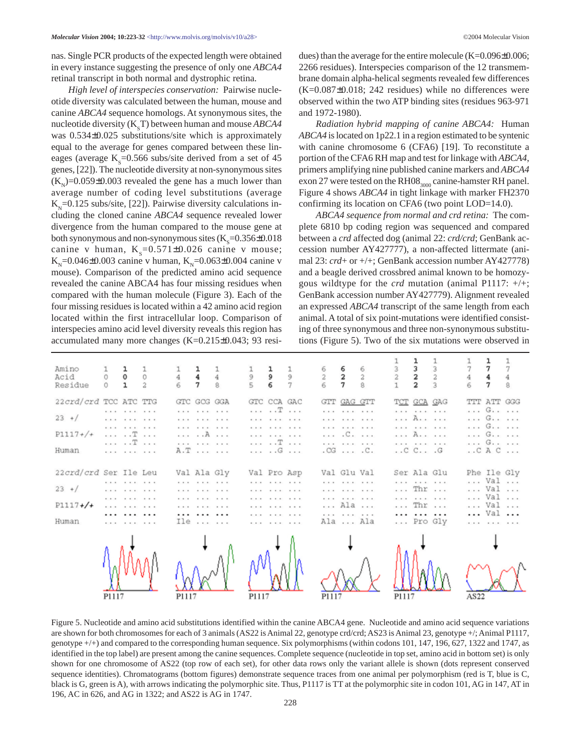nas. Single PCR products of the expected length were obtained in every instance suggesting the presence of only one *ABCA4* retinal transcript in both normal and dystrophic retina.

*High level of interspecies conservation:* Pairwise nucleotide diversity was calculated between the human, mouse and canine *ABCA4* sequence homologs. At synonymous sites, the nucleotide diversity  $(K_{S}T)$  between human and mouse  $ABCA4$ was 0.534±0.025 substitutions/site which is approximately equal to the average for genes compared between these lineages (average  $K_s$ =0.566 subs/site derived from a set of 45 genes, [22]). The nucleotide diversity at non-synonymous sites  $(K<sub>N</sub>)$ =0.059±0.003 revealed the gene has a much lower than average number of coding level substitutions (average  $K_{N}=0.125$  subs/site, [22]). Pairwise diversity calculations including the cloned canine *ABCA4* sequence revealed lower divergence from the human compared to the mouse gene at both synonymous and non-synonymous sites  $(\mathrm{K}_{\mathrm{S}}\text{=}0.356\text{\pm}0.018$ canine v human,  $K_s=0.571\pm0.026$  canine v mouse;  $K_{\text{N}}=0.046\pm0.003$  canine v human,  $K_{\text{N}}=0.063\pm0.004$  canine v mouse). Comparison of the predicted amino acid sequence revealed the canine ABCA4 has four missing residues when compared with the human molecule (Figure 3). Each of the four missing residues is located within a 42 amino acid region located within the first intracellular loop. Comparison of interspecies amino acid level diversity reveals this region has accumulated many more changes (K=0.215±0.043; 93 residues) than the average for the entire molecule (K=0.096±0.006; 2266 residues). Interspecies comparison of the 12 transmembrane domain alpha-helical segments revealed few differences  $(K=0.087\pm0.018; 242$  residues) while no differences were observed within the two ATP binding sites (residues 963-971 and 1972-1980).

*Radiation hybrid mapping of canine ABCA4:* Human *ABCA4* is located on 1p22.1 in a region estimated to be syntenic with canine chromosome 6 (CFA6) [19]. To reconstitute a portion of the CFA6 RH map and test for linkage with *ABCA4*, primers amplifying nine published canine markers and *ABCA4* exon 27 were tested on the RH08 $_{3000}$  canine-hamster RH panel. Figure 4 shows *ABCA4* in tight linkage with marker FH2370 confirming its location on CFA6 (two point LOD=14.0).

*ABCA4 sequence from normal and crd retina:* The complete 6810 bp coding region was sequenced and compared between a *crd* affected dog (animal 22: *crd/crd*; GenBank accession number AY427777), a non-affected littermate (animal 23: *crd*+ or +/+; GenBank accession number AY427778) and a beagle derived crossbred animal known to be homozygous wildtype for the *crd* mutation (animal P1117: +/+; GenBank accession number AY427779). Alignment revealed an expressed *ABCA4* transcript of the same length from each animal. A total of six point-mutations were identified consisting of three synonymous and three non-synonymous substitutions (Figure 5). Two of the six mutations were observed in

| Amino<br>Acid<br>Residue                                 | $\frac{0}{0}$ | $\begin{matrix} 1 \\ 0 \\ 1 \end{matrix}$                                                                                                  | $\begin{matrix} 1 \\ 0 \\ 2 \end{matrix}$ | $\frac{1}{4}$ | $\frac{1}{4}$ $\frac{1}{4}$                                                                                                      | $\frac{1}{9}$ | $\begin{array}{c} 1 \\ 9 \\ 6 \end{array}$                                                                                                                                                   | $\begin{array}{c}\n1 \\ 9 \\ 7\n\end{array}$ |       | $\begin{array}{ccc} 6 & 6 & 6 \\ 2 & 2 & 2 \\ 6 & 7 & 8 \end{array}$                                                                                 |       | $\begin{array}{c} 1 \\ 3 \\ 2 \\ 2 \end{array}$                                                                                  | $\frac{1}{3}$ 3 | $\frac{1}{7}$ | $\begin{array}{c} 1 \\ 7 \\ 4 \\ 7 \end{array}$                                 |  |
|----------------------------------------------------------|---------------|--------------------------------------------------------------------------------------------------------------------------------------------|-------------------------------------------|---------------|----------------------------------------------------------------------------------------------------------------------------------|---------------|----------------------------------------------------------------------------------------------------------------------------------------------------------------------------------------------|----------------------------------------------|-------|------------------------------------------------------------------------------------------------------------------------------------------------------|-------|----------------------------------------------------------------------------------------------------------------------------------|-----------------|---------------|---------------------------------------------------------------------------------|--|
| 22crd/crd TCC ATC TTG<br>$23 + /$<br>$P1117+/+$<br>Human |               | cars, a car a car<br>distance of the control<br>contract and contract<br>$\ldots$ $\ldots$ $\mathbb{T}$ $\ldots$<br>. T<br>and a state and |                                           |               | GTC GOG GGA<br>cars, a car a car<br>and a state and<br>contract and contract of<br>. A<br>district the state of the state<br>A.T |               | GTC CCA GAC<br>$\ldots$ $\ldots$ $\ldots$<br>contract and contract and<br>contract and contracts.<br>and a state and<br>. <del>.</del><br>. G                                                |                                              |       | GTT GAG GTT<br>contract and contract and a state<br>.<br>contract and contract the state.<br>C<br>contract and contract and con-<br>$.CG \ldots .C.$ |       | T <u>CT</u> GCA GAG<br>.<br>. <b>A.</b> .<br>property and property and a<br>. <b>A.</b> .<br>.<br>$\ldots$ C $\ldots$ $\ldots$ G |                 |               | TTT ATT GGG<br>. G.<br>. G.<br>. G.<br>. G.<br>. G.<br>$\ldots$ CAC $\ldots$    |  |
| 22crd/crd Ser Ile Leu<br>$23 + 1$<br>$P1117+/+$<br>Human |               | contractors and<br>shows the short to see all<br>cars, a car a car<br><b>CAR A CALL A CAL</b><br><br>and a state and                       |                                           |               | Val Ala Gly<br>contractors and<br>contract and contract to<br>contract and contract of<br>state the state of a state<br><br>Ile  |               | Val Pro Asp<br>contractors and<br>state to state to star<br>species the state to serve<br>species the state that were<br>contract and contract and con-<br>contract and contract to the con- |                                              |       | Val Glu Val<br>contract and contract and con-<br>and a state and a<br>contract and contract and<br>Ala<br>contract and contract of<br>Ala  Ala       |       | Ser Ala Glu<br>.<br>$\ldots$ Thr $\ldots$<br>.<br>$\ldots$ Thr $\ldots$<br>.<br>Pro Gly                                          |                 |               | Phe Ile Gly<br>Val<br>Val<br>Val<br>Val<br>Val<br>and the state of the state of |  |
|                                                          | P1117         |                                                                                                                                            |                                           | P1117         |                                                                                                                                  | P1117         |                                                                                                                                                                                              |                                              | P1117 |                                                                                                                                                      | P1117 |                                                                                                                                  |                 | AS22          |                                                                                 |  |

Figure 5. Nucleotide and amino acid substitutions identified within the canine ABCA4 gene. Nucleotide and amino acid sequence variations are shown for both chromosomes for each of 3 animals (AS22 is Animal 22, genotype crd/crd; AS23 is Animal 23, genotype +/; Animal P1117, genotype +/+) and compared to the corresponding human sequence. Six polymorphisms (within codons 101, 147, 196, 627, 1322 and 1747, as identified in the top label) are present among the canine sequences. Complete sequence (nucleotide in top set, amino acid in bottom set) is only shown for one chromosome of AS22 (top row of each set), for other data rows only the variant allele is shown (dots represent conserved sequence identities). Chromatograms (bottom figures) demonstrate sequence traces from one animal per polymorphism (red is T, blue is C, black is G, green is A), with arrows indicating the polymorphic site. Thus, P1117 is TT at the polymorphic site in codon 101, AG in 147, AT in 196, AC in 626, and AG in 1322; and AS22 is AG in 1747.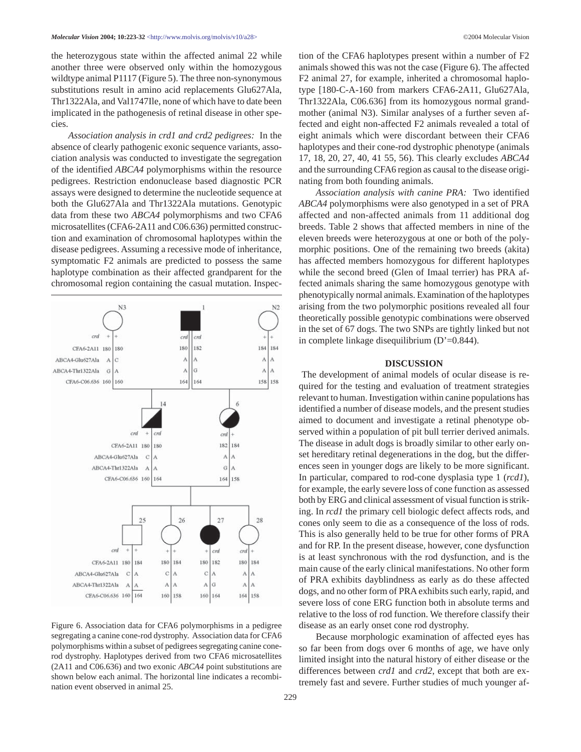the heterozygous state within the affected animal 22 while another three were observed only within the homozygous wildtype animal P1117 (Figure 5). The three non-synonymous substitutions result in amino acid replacements Glu627Ala, Thr1322Ala, and Val1747Ile, none of which have to date been implicated in the pathogenesis of retinal disease in other species.

*Association analysis in crd1 and crd2 pedigrees:* In the absence of clearly pathogenic exonic sequence variants, association analysis was conducted to investigate the segregation of the identified *ABCA4* polymorphisms within the resource pedigrees. Restriction endonuclease based diagnostic PCR assays were designed to determine the nucleotide sequence at both the Glu627Ala and Thr1322Ala mutations. Genotypic data from these two *ABCA4* polymorphisms and two CFA6 microsatellites (CFA6-2A11 and C06.636) permitted construction and examination of chromosomal haplotypes within the disease pedigrees. Assuming a recessive mode of inheritance, symptomatic F2 animals are predicted to possess the same haplotype combination as their affected grandparent for the chromosomal region containing the casual mutation. Inspec-



Figure 6. Association data for CFA6 polymorphisms in a pedigree segregating a canine cone-rod dystrophy. Association data for CFA6 polymorphisms within a subset of pedigrees segregating canine conerod dystrophy. Haplotypes derived from two CFA6 microsatellites (2A11 and C06.636) and two exonic *ABCA4* point substitutions are shown below each animal. The horizontal line indicates a recombination event observed in animal 25.

tion of the CFA6 haplotypes present within a number of F2 animals showed this was not the case (Figure 6). The affected F2 animal 27, for example, inherited a chromosomal haplotype [180-C-A-160 from markers CFA6-2A11, Glu627Ala, Thr1322Ala, C06.636] from its homozygous normal grandmother (animal N3). Similar analyses of a further seven affected and eight non-affected F2 animals revealed a total of eight animals which were discordant between their CFA6 haplotypes and their cone-rod dystrophic phenotype (animals 17, 18, 20, 27, 40, 41 55, 56). This clearly excludes *ABCA4* and the surrounding CFA6 region as causal to the disease originating from both founding animals.

*Association analysis with canine PRA:* Two identified *ABCA4* polymorphisms were also genotyped in a set of PRA affected and non-affected animals from 11 additional dog breeds. Table 2 shows that affected members in nine of the eleven breeds were heterozygous at one or both of the polymorphic positions. One of the remaining two breeds (akita) has affected members homozygous for different haplotypes while the second breed (Glen of Imaal terrier) has PRA affected animals sharing the same homozygous genotype with phenotypically normal animals. Examination of the haplotypes arising from the two polymorphic positions revealed all four theoretically possible genotypic combinations were observed in the set of 67 dogs. The two SNPs are tightly linked but not in complete linkage disequilibrium (D'=0.844).

#### **DISCUSSION**

The development of animal models of ocular disease is required for the testing and evaluation of treatment strategies relevant to human. Investigation within canine populations has identified a number of disease models, and the present studies aimed to document and investigate a retinal phenotype observed within a population of pit bull terrier derived animals. The disease in adult dogs is broadly similar to other early onset hereditary retinal degenerations in the dog, but the differences seen in younger dogs are likely to be more significant. In particular, compared to rod-cone dysplasia type 1 (*rcd1*), for example, the early severe loss of cone function as assessed both by ERG and clinical assessment of visual function is striking. In *rcd1* the primary cell biologic defect affects rods, and cones only seem to die as a consequence of the loss of rods. This is also generally held to be true for other forms of PRA and for RP. In the present disease, however, cone dysfunction is at least synchronous with the rod dysfunction, and is the main cause of the early clinical manifestations. No other form of PRA exhibits dayblindness as early as do these affected dogs, and no other form of PRA exhibits such early, rapid, and severe loss of cone ERG function both in absolute terms and relative to the loss of rod function. We therefore classify their disease as an early onset cone rod dystrophy.

Because morphologic examination of affected eyes has so far been from dogs over 6 months of age, we have only limited insight into the natural history of either disease or the differences between *crd1* and *crd2*, except that both are extremely fast and severe. Further studies of much younger af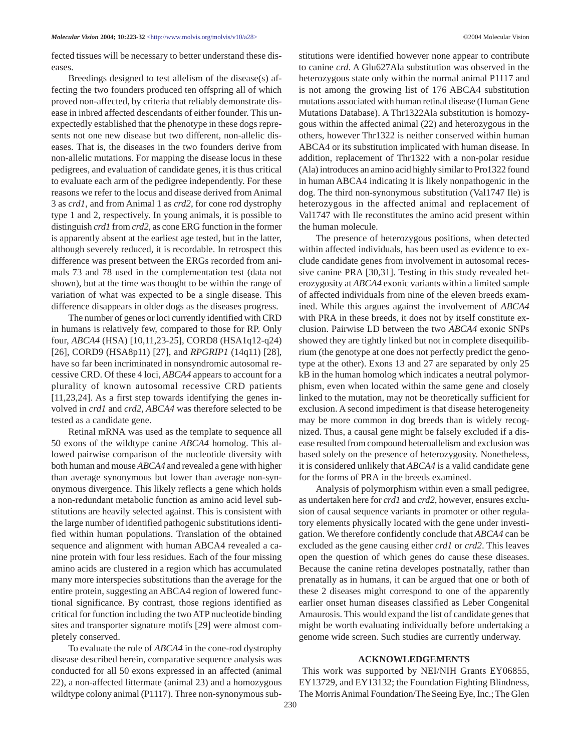fected tissues will be necessary to better understand these diseases.

Breedings designed to test allelism of the disease(s) affecting the two founders produced ten offspring all of which proved non-affected, by criteria that reliably demonstrate disease in inbred affected descendants of either founder. This unexpectedly established that the phenotype in these dogs represents not one new disease but two different, non-allelic diseases. That is, the diseases in the two founders derive from non-allelic mutations. For mapping the disease locus in these pedigrees, and evaluation of candidate genes, it is thus critical to evaluate each arm of the pedigree independently. For these reasons we refer to the locus and disease derived from Animal 3 as *crd1*, and from Animal 1 as *crd2*, for cone rod dystrophy type 1 and 2, respectively. In young animals, it is possible to distinguish *crd1* from *crd2*, as cone ERG function in the former is apparently absent at the earliest age tested, but in the latter, although severely reduced, it is recordable. In retrospect this difference was present between the ERGs recorded from animals 73 and 78 used in the complementation test (data not shown), but at the time was thought to be within the range of variation of what was expected to be a single disease. This difference disappears in older dogs as the diseases progress.

The number of genes or loci currently identified with CRD in humans is relatively few, compared to those for RP. Only four, *ABCA4* (HSA) [10,11,23-25], CORD8 (HSA1q12-q24) [26], CORD9 (HSA8p11) [27], and *RPGRIP1* (14q11) [28], have so far been incriminated in nonsyndromic autosomal recessive CRD. Of these 4 loci, *ABCA4* appears to account for a plurality of known autosomal recessive CRD patients [11,23,24]. As a first step towards identifying the genes involved in *crd1* and *crd2*, *ABCA4* was therefore selected to be tested as a candidate gene.

Retinal mRNA was used as the template to sequence all 50 exons of the wildtype canine *ABCA4* homolog. This allowed pairwise comparison of the nucleotide diversity with both human and mouse *ABCA4* and revealed a gene with higher than average synonymous but lower than average non-synonymous divergence. This likely reflects a gene which holds a non-redundant metabolic function as amino acid level substitutions are heavily selected against. This is consistent with the large number of identified pathogenic substitutions identified within human populations. Translation of the obtained sequence and alignment with human ABCA4 revealed a canine protein with four less residues. Each of the four missing amino acids are clustered in a region which has accumulated many more interspecies substitutions than the average for the entire protein, suggesting an ABCA4 region of lowered functional significance. By contrast, those regions identified as critical for function including the two ATP nucleotide binding sites and transporter signature motifs [29] were almost completely conserved.

To evaluate the role of *ABCA4* in the cone-rod dystrophy disease described herein, comparative sequence analysis was conducted for all 50 exons expressed in an affected (animal 22), a non-affected littermate (animal 23) and a homozygous wildtype colony animal (P1117). Three non-synonymous substitutions were identified however none appear to contribute to canine *crd*. A Glu627Ala substitution was observed in the heterozygous state only within the normal animal P1117 and is not among the growing list of 176 ABCA4 substitution mutations associated with human retinal disease (Human Gene Mutations Database). A Thr1322Ala substitution is homozygous within the affected animal (22) and heterozygous in the others, however Thr1322 is neither conserved within human ABCA4 or its substitution implicated with human disease. In addition, replacement of Thr1322 with a non-polar residue (Ala) introduces an amino acid highly similar to Pro1322 found in human ABCA4 indicating it is likely nonpathogenic in the dog. The third non-synonymous substitution (Val1747 Ile) is heterozygous in the affected animal and replacement of Val1747 with Ile reconstitutes the amino acid present within the human molecule.

The presence of heterozygous positions, when detected within affected individuals, has been used as evidence to exclude candidate genes from involvement in autosomal recessive canine PRA [30,31]. Testing in this study revealed heterozygosity at *ABCA4* exonic variants within a limited sample of affected individuals from nine of the eleven breeds examined. While this argues against the involvement of *ABCA4* with PRA in these breeds, it does not by itself constitute exclusion. Pairwise LD between the two *ABCA4* exonic SNPs showed they are tightly linked but not in complete disequilibrium (the genotype at one does not perfectly predict the genotype at the other). Exons 13 and 27 are separated by only 25 kB in the human homolog which indicates a neutral polymorphism, even when located within the same gene and closely linked to the mutation, may not be theoretically sufficient for exclusion. A second impediment is that disease heterogeneity may be more common in dog breeds than is widely recognized. Thus, a causal gene might be falsely excluded if a disease resulted from compound heteroallelism and exclusion was based solely on the presence of heterozygosity. Nonetheless, it is considered unlikely that *ABCA4* is a valid candidate gene for the forms of PRA in the breeds examined.

Analysis of polymorphism within even a small pedigree, as undertaken here for *crd1* and *crd2*, however, ensures exclusion of causal sequence variants in promoter or other regulatory elements physically located with the gene under investigation. We therefore confidently conclude that *ABCA4* can be excluded as the gene causing either *crd1* or *crd2*. This leaves open the question of which genes do cause these diseases. Because the canine retina developes postnatally, rather than prenatally as in humans, it can be argued that one or both of these 2 diseases might correspond to one of the apparently earlier onset human diseases classified as Leber Congenital Amaurosis. This would expand the list of candidate genes that might be worth evaluating individually before undertaking a genome wide screen. Such studies are currently underway.

#### **ACKNOWLEDGEMENTS**

This work was supported by NEI/NIH Grants EY06855, EY13729, and EY13132; the Foundation Fighting Blindness, The Morris Animal Foundation/The Seeing Eye, Inc.; The Glen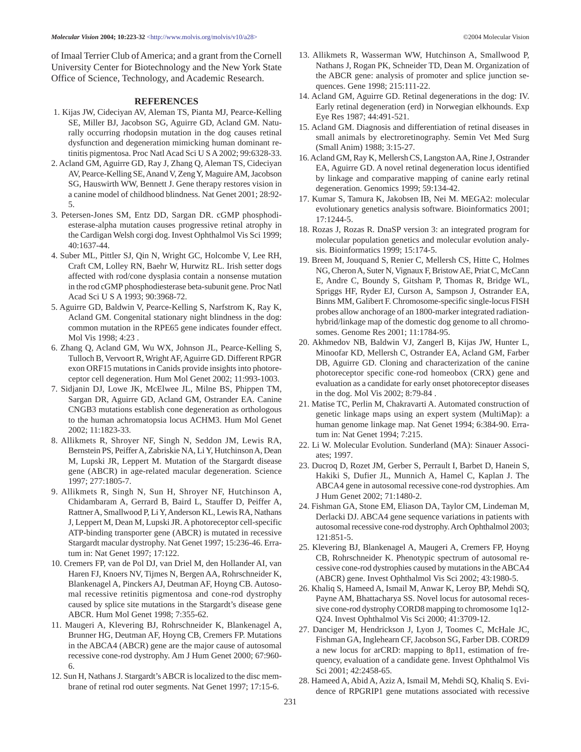of Imaal Terrier Club of America; and a grant from the Cornell University Center for Biotechnology and the New York State Office of Science, Technology, and Academic Research.

#### **REFERENCES**

- 1. Kijas JW, Cideciyan AV, Aleman TS, Pianta MJ, Pearce-Kelling SE, Miller BJ, Jacobson SG, Aguirre GD, Acland GM. Naturally occurring rhodopsin mutation in the dog causes retinal dysfunction and degeneration mimicking human dominant retinitis pigmentosa. Proc Natl Acad Sci U S A 2002; 99:6328-33.
- 2. Acland GM, Aguirre GD, Ray J, Zhang Q, Aleman TS, Cideciyan AV, Pearce-Kelling SE, Anand V, Zeng Y, Maguire AM, Jacobson SG, Hauswirth WW, Bennett J. Gene therapy restores vision in a canine model of childhood blindness. Nat Genet 2001; 28:92- 5.
- 3. Petersen-Jones SM, Entz DD, Sargan DR. cGMP phosphodiesterase-alpha mutation causes progressive retinal atrophy in the Cardigan Welsh corgi dog. Invest Ophthalmol Vis Sci 1999; 40:1637-44.
- 4. Suber ML, Pittler SJ, Qin N, Wright GC, Holcombe V, Lee RH, Craft CM, Lolley RN, Baehr W, Hurwitz RL. Irish setter dogs affected with rod/cone dysplasia contain a nonsense mutation in the rod cGMP phosphodiesterase beta-subunit gene. Proc Natl Acad Sci U S A 1993; 90:3968-72.
- 5. Aguirre GD, Baldwin V, Pearce-Kelling S, Narfstrom K, Ray K, Acland GM. Congenital stationary night blindness in the dog: common mutation in the RPE65 gene indicates founder effect. Mol Vis 1998; 4:23 .
- 6. Zhang Q, Acland GM, Wu WX, Johnson JL, Pearce-Kelling S, Tulloch B, Vervoort R, Wright AF, Aguirre GD. Different RPGR exon ORF15 mutations in Canids provide insights into photoreceptor cell degeneration. Hum Mol Genet 2002; 11:993-1003.
- 7. Sidjanin DJ, Lowe JK, McElwee JL, Milne BS, Phippen TM, Sargan DR, Aguirre GD, Acland GM, Ostrander EA. Canine CNGB3 mutations establish cone degeneration as orthologous to the human achromatopsia locus ACHM3. Hum Mol Genet 2002; 11:1823-33.
- 8. Allikmets R, Shroyer NF, Singh N, Seddon JM, Lewis RA, Bernstein PS, Peiffer A, Zabriskie NA, Li Y, Hutchinson A, Dean M, Lupski JR, Leppert M. Mutation of the Stargardt disease gene (ABCR) in age-related macular degeneration. Science 1997; 277:1805-7.
- 9. Allikmets R, Singh N, Sun H, Shroyer NF, Hutchinson A, Chidambaram A, Gerrard B, Baird L, Stauffer D, Peiffer A, Rattner A, Smallwood P, Li Y, Anderson KL, Lewis RA, Nathans J, Leppert M, Dean M, Lupski JR. A photoreceptor cell-specific ATP-binding transporter gene (ABCR) is mutated in recessive Stargardt macular dystrophy. Nat Genet 1997; 15:236-46. Erratum in: Nat Genet 1997; 17:122.
- 10. Cremers FP, van de Pol DJ, van Driel M, den Hollander AI, van Haren FJ, Knoers NV, Tijmes N, Bergen AA, Rohrschneider K, Blankenagel A, Pinckers AJ, Deutman AF, Hoyng CB. Autosomal recessive retinitis pigmentosa and cone-rod dystrophy caused by splice site mutations in the Stargardt's disease gene ABCR. Hum Mol Genet 1998; 7:355-62.
- 11. Maugeri A, Klevering BJ, Rohrschneider K, Blankenagel A, Brunner HG, Deutman AF, Hoyng CB, Cremers FP. Mutations in the ABCA4 (ABCR) gene are the major cause of autosomal recessive cone-rod dystrophy. Am J Hum Genet 2000; 67:960- 6.
- 12. Sun H, Nathans J. Stargardt's ABCR is localized to the disc membrane of retinal rod outer segments. Nat Genet 1997; 17:15-6.
- 13. Allikmets R, Wasserman WW, Hutchinson A, Smallwood P, Nathans J, Rogan PK, Schneider TD, Dean M. Organization of the ABCR gene: analysis of promoter and splice junction sequences. Gene 1998; 215:111-22.
- 14. Acland GM, Aguirre GD. Retinal degenerations in the dog: IV. Early retinal degeneration (erd) in Norwegian elkhounds. Exp Eye Res 1987; 44:491-521.
- 15. Acland GM. Diagnosis and differentiation of retinal diseases in small animals by electroretinography. Semin Vet Med Surg (Small Anim) 1988; 3:15-27.
- 16. Acland GM, Ray K, Mellersh CS, Langston AA, Rine J, Ostrander EA, Aguirre GD. A novel retinal degeneration locus identified by linkage and comparative mapping of canine early retinal degeneration. Genomics 1999; 59:134-42.
- 17. Kumar S, Tamura K, Jakobsen IB, Nei M. MEGA2: molecular evolutionary genetics analysis software. Bioinformatics 2001; 17:1244-5.
- 18. Rozas J, Rozas R. DnaSP version 3: an integrated program for molecular population genetics and molecular evolution analysis. Bioinformatics 1999; 15:174-5.
- 19. Breen M, Jouquand S, Renier C, Mellersh CS, Hitte C, Holmes NG, Cheron A, Suter N, Vignaux F, Bristow AE, Priat C, McCann E, Andre C, Boundy S, Gitsham P, Thomas R, Bridge WL, Spriggs HF, Ryder EJ, Curson A, Sampson J, Ostrander EA, Binns MM, Galibert F. Chromosome-specific single-locus FISH probes allow anchorage of an 1800-marker integrated radiationhybrid/linkage map of the domestic dog genome to all chromosomes. Genome Res 2001; 11:1784-95.
- 20. Akhmedov NB, Baldwin VJ, Zangerl B, Kijas JW, Hunter L, Minoofar KD, Mellersh C, Ostrander EA, Acland GM, Farber DB, Aguirre GD. Cloning and characterization of the canine photoreceptor specific cone-rod homeobox (CRX) gene and evaluation as a candidate for early onset photoreceptor diseases in the dog. Mol Vis 2002; 8:79-84 .
- 21. Matise TC, Perlin M, Chakravarti A. Automated construction of genetic linkage maps using an expert system (MultiMap): a human genome linkage map. Nat Genet 1994; 6:384-90. Erratum in: Nat Genet 1994; 7:215.
- 22. Li W. Molecular Evolution. Sunderland (MA): Sinauer Associates; 1997.
- 23. Ducroq D, Rozet JM, Gerber S, Perrault I, Barbet D, Hanein S, Hakiki S, Dufier JL, Munnich A, Hamel C, Kaplan J. The ABCA4 gene in autosomal recessive cone-rod dystrophies. Am J Hum Genet 2002; 71:1480-2.
- 24. Fishman GA, Stone EM, Eliason DA, Taylor CM, Lindeman M, Derlacki DJ. ABCA4 gene sequence variations in patients with autosomal recessive cone-rod dystrophy. Arch Ophthalmol 2003; 121:851-5.
- 25. Klevering BJ, Blankenagel A, Maugeri A, Cremers FP, Hoyng CB, Rohrschneider K. Phenotypic spectrum of autosomal recessive cone-rod dystrophies caused by mutations in the ABCA4 (ABCR) gene. Invest Ophthalmol Vis Sci 2002; 43:1980-5.
- 26. Khaliq S, Hameed A, Ismail M, Anwar K, Leroy BP, Mehdi SQ, Payne AM, Bhattacharya SS. Novel locus for autosomal recessive cone-rod dystrophy CORD8 mapping to chromosome 1q12- Q24. Invest Ophthalmol Vis Sci 2000; 41:3709-12.
- 27. Danciger M, Hendrickson J, Lyon J, Toomes C, McHale JC, Fishman GA, Inglehearn CF, Jacobson SG, Farber DB. CORD9 a new locus for arCRD: mapping to 8p11, estimation of frequency, evaluation of a candidate gene. Invest Ophthalmol Vis Sci 2001; 42:2458-65.
- 28. Hameed A, Abid A, Aziz A, Ismail M, Mehdi SQ, Khaliq S. Evidence of RPGRIP1 gene mutations associated with recessive